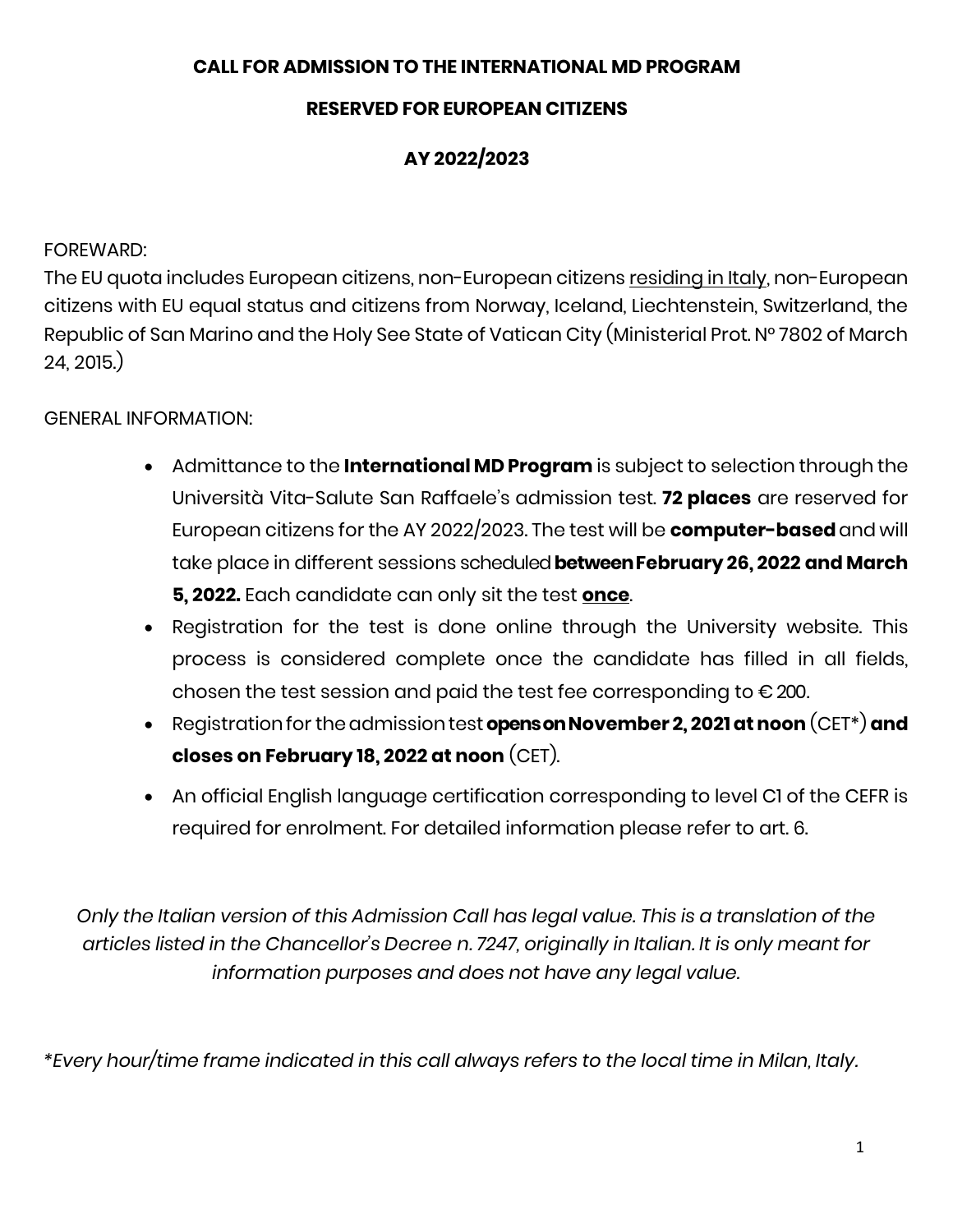#### **CALL FOR ADMISSION TO THE INTERNATIONAL MD PROGRAM**

### **RESERVED FOR EUROPEAN CITIZENS**

# **AY 2022/2023**

#### FOREWARD:

The EU quota includes European citizens, non-European citizens residing in Italy, non-European citizens with EU equal status and citizens from Norway, Iceland, Liechtenstein, Switzerland, the Republic of San Marino and the Holy See State of Vatican City (Ministerial Prot. N° 7802 of March 24, 2015.)

#### GENERAL INFORMATION:

- Admittance to the **International MD Program** is subject to selection through the Università Vita-Salute San Raffaele's admission test. **72 places** are reserved for European citizens for the AY 2022/2023. The test will be **computer-based**and will take place in different sessions scheduled **betweenFebruary 26, 2022 and March 5, 2022.** Each candidate can only sit the test **once**.
- Registration for the test is done online through the University website. This process is considered complete once the candidate has filled in all fields, chosen the test session and paid the test fee corresponding to  $\epsilon$  200.
- Registration for the admission test **opens on November 2, 2021 at noon** (CET\*) and **closes on February 18, 2022 at noon** (CET).
- An official English language certification corresponding to level C1 of the CEFR is required for enrolment. For detailed information please refer to art. 6.

*Only the Italian version of this Admission Call has legal value. This is a translation of the articles listed in the Chancellor's Decree n. 7247, originally in Italian. It is only meant for information purposes and does not have any legal value.*

*\*Every hour/time frame indicated in this call always refers to the local time in Milan, Italy.*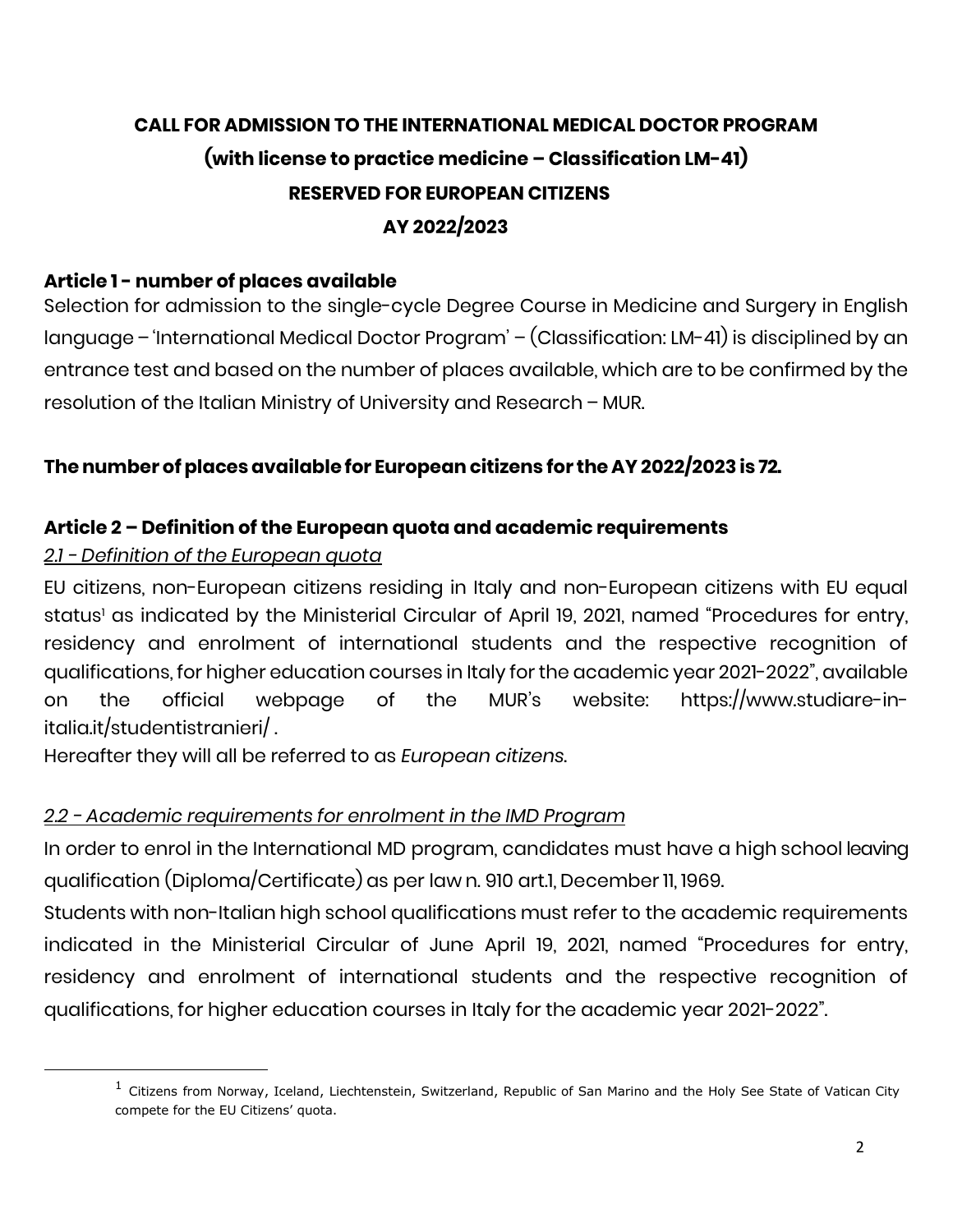# **CALL FOR ADMISSION TO THE INTERNATIONAL MEDICAL DOCTOR PROGRAM (with license to practice medicine – Classification LM-41) RESERVED FOR EUROPEAN CITIZENS AY 2022/2023**

#### **Article 1 - number of places available**

Selection for admission to the single-cycle Degree Course in Medicine and Surgery in English language – 'International Medical Doctor Program' – (Classification: LM-41) is disciplined by an entrance test and based on the number of places available, which are to be confirmed by the resolution of the Italian Ministry of University and Research – MUR.

#### **Thenumber ofplacesavailable for Europeancitizens for the AY 2022/2023 is 72.**

#### **Article 2 – Definition of the European quota and academic requirements**

#### *2.1 - Definition of the European quota*

j

EU citizens, non-European citizens residing in Italy and non-European citizens with EU equal status<sup>1</sup> as indicated by the Ministerial Circular of April 19, 2021, named "Procedures for entry, residency and enrolment of international students and the respective recognition of qualifications, for higher education courses in Italy for the academic year 2021-2022", available on the official webpage of the MUR's website: https://www.studiare-initalia.it/studentistranieri/ .

Hereafter they will all be referred to as *European citizens*.

#### *2.2 - Academic requirements for enrolment in the IMD Program*

In order to enrol in the International MD program, candidates must have a high school leaving qualification (Diploma/Certificate) as per law n. 910 art.1, December 11, 1969.

Students with non-Italian high school qualifications must refer to the academic requirements indicated in the Ministerial Circular of June April 19, 2021, named "Procedures for entry, residency and enrolment of international students and the respective recognition of qualifications, for higher education courses in Italy for the academic year 2021-2022".

 $<sup>1</sup>$  Citizens from Norway, Iceland, Liechtenstein, Switzerland, Republic of San Marino and the Holy See State of Vatican City</sup> compete for the EU Citizens' quota.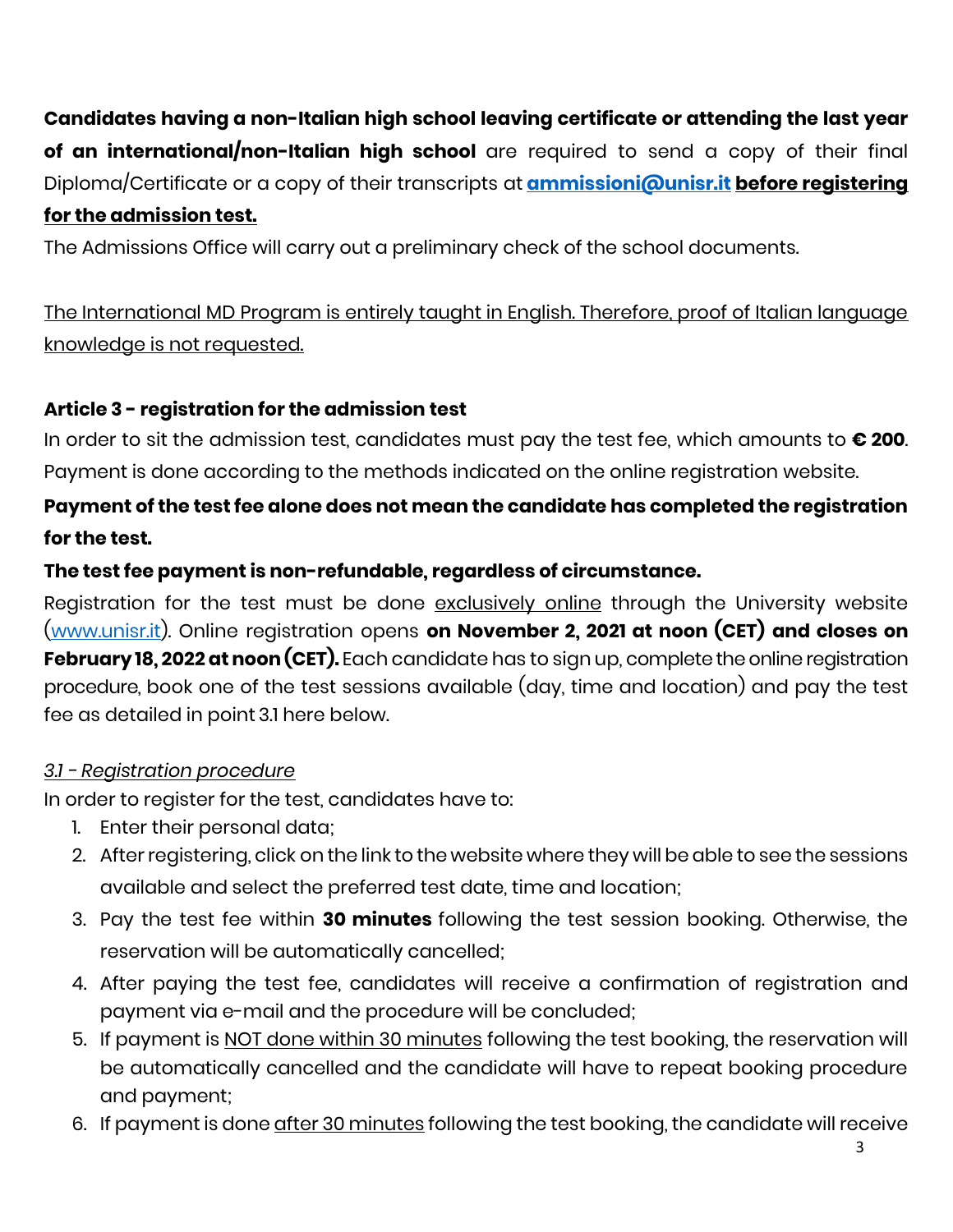**Candidates having a non-Italian high school leaving certificate or attending the last year of an international/non-Italian high school** are required to send a copy of their final Diploma/Certificate or a copy of their transcripts at **[ammissioni@unisr.it](mailto:ammissioni@unisr.it) before registering for the admission test.**

The Admissions Office will carry out a preliminary check of the school documents.

The International MD Program is entirely taught in English. Therefore, proof of Italian language knowledge is not requested.

# **Article 3 - registration for the admission test**

In order to sit the admission test, candidates must pay the test fee, which amounts to **€ 200**. Payment is done according to the methods indicated on the online registration website.

# **Payment of the test fee alone does not mean the candidate has completed the registration for the test.**

## **The test fee payment is non-refundable, regardless of circumstance.**

Registration for the test must be done exclusively online through the University website [\(www.unisr.it\)](http://www.unisr.it/). Online registration opens **on November 2, 2021 at noon (CET) and closes on February 18, 2022 at noon (CET).** Each candidate has to sign up, complete the online registration procedure, book one of the test sessions available (day, time and location) and pay the test fee as detailed in point 3.1 here below.

#### *3.1 - Registration procedure*

In order to register for the test, candidates have to:

- 1. Enter their personal data;
- 2. After registering, click on the link to the website where they will be able to see the sessions available and select the preferred test date, time and location;
- 3. Pay the test fee within **30 minutes** following the test session booking. Otherwise, the reservation will be automatically cancelled;
- 4. After paying the test fee, candidates will receive a confirmation of registration and payment via e-mail and the procedure will be concluded;
- 5. If payment is NOT done within 30 minutes following the test booking, the reservation will be automatically cancelled and the candidate will have to repeat booking procedure and payment;
- 6. If payment is done after 30 minutes following the test booking, the candidate will receive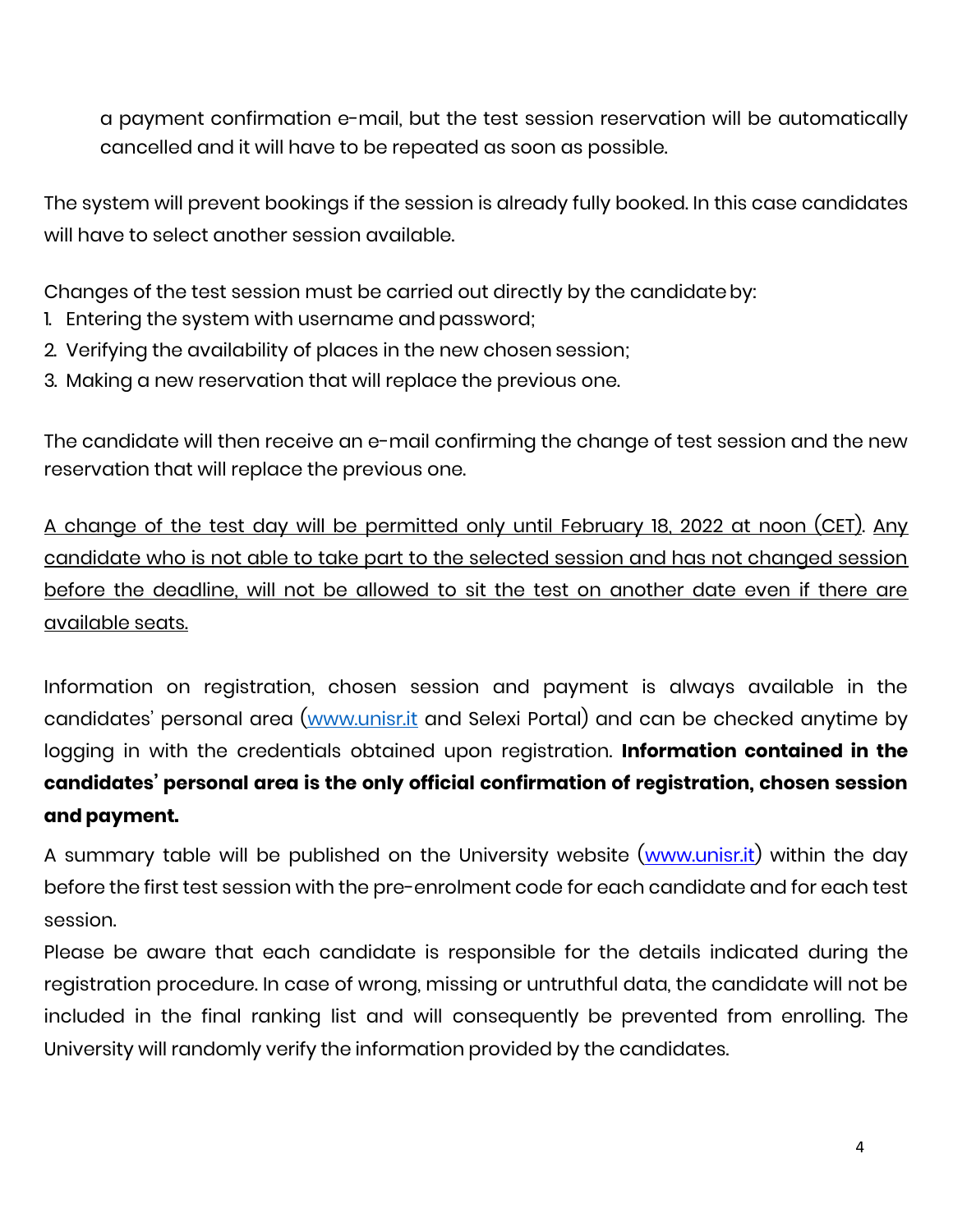a payment confirmation e-mail, but the test session reservation will be automatically cancelled and it will have to be repeated as soon as possible.

The system will prevent bookings if the session is already fully booked. In this case candidates will have to select another session available.

Changes of the test session must be carried out directly by the candidateby:

- 1. Entering the system with username and password;
- 2. Verifying the availability of places in the new chosen session;
- 3. Making a new reservation that will replace the previous one.

The candidate will then receive an e-mail confirming the change of test session and the new reservation that will replace the previous one.

A change of the test day will be permitted only until February 18, 2022 at noon (CET). Any candidate who is not able to take part to the selected session and has not changed session before the deadline, will not be allowed to sit the test on another date even if there are available seats.

Information on registration, chosen session and payment is always available in the candidates' personal area ([www.unisr.it](http://www.unisr.it/) and Selexi Portal) and can be checked anytime by logging in with the credentials obtained upon registration. **Information contained in the candidates' personal area is the only official confirmation of registration, chosen session and payment.**

A summary table will be published on the University website [\(www.unisr.it\)](http://www.unisr.it/) within the day before the first test session with the pre-enrolment code for each candidate and for each test session.

Please be aware that each candidate is responsible for the details indicated during the registration procedure. In case of wrong, missing or untruthful data, the candidate will not be included in the final ranking list and will consequently be prevented from enrolling. The University will randomly verify the information provided by the candidates.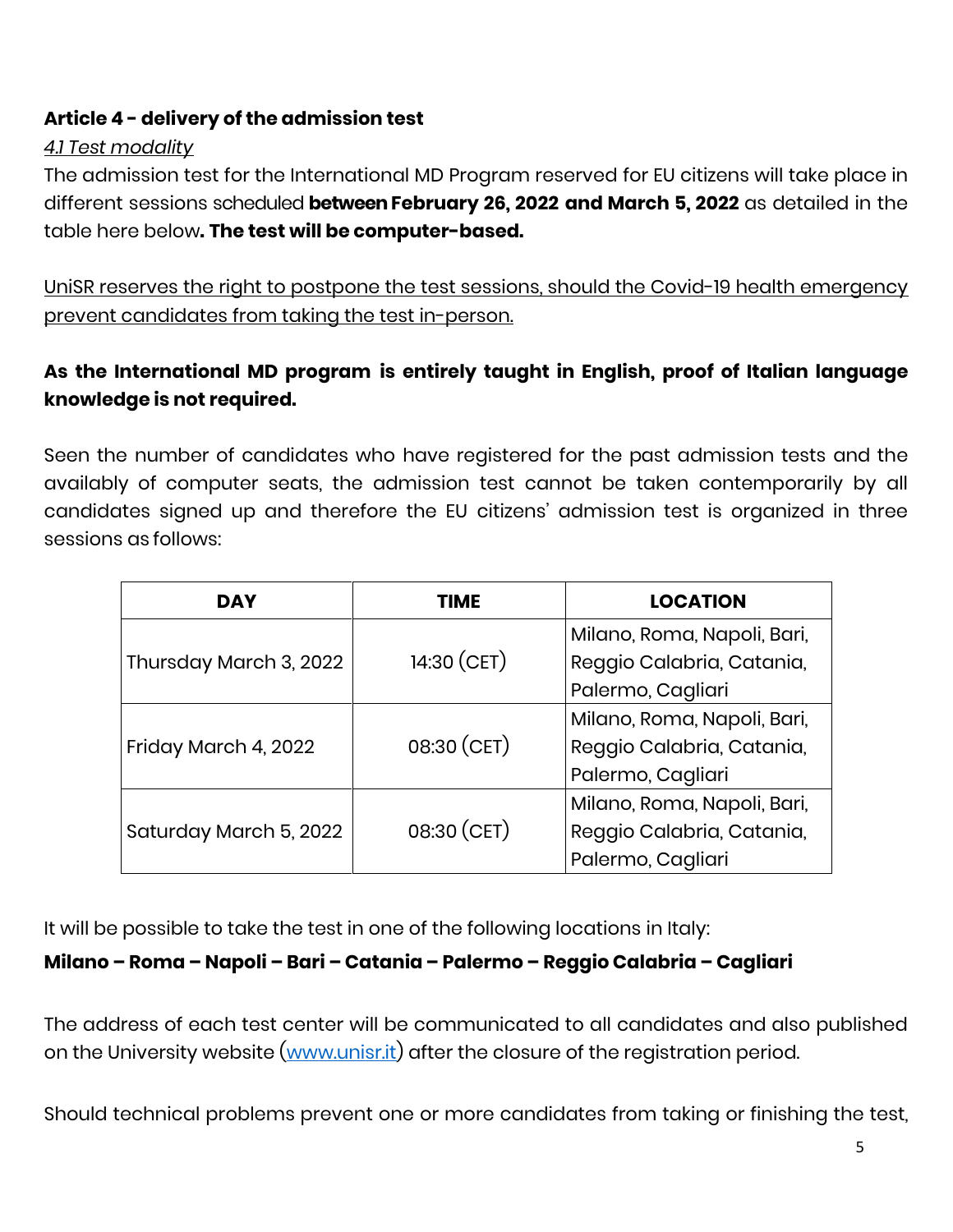# **Article 4 - delivery of the admission test**

#### *4.1 Test modality*

The admission test for the International MD Program reserved for EU citizens will take place in different sessions scheduled **between February 26, 2022 and March 5, 2022** as detailed in the table here below**. The test will be computer-based.**

UniSR reserves the right to postpone the test sessions, should the Covid-19 health emergency prevent candidates from taking the test in-person.

# **As the International MD program is entirely taught in English, proof of Italian language knowledge is not required.**

Seen the number of candidates who have registered for the past admission tests and the availably of computer seats, the admission test cannot be taken contemporarily by all candidates signed up and therefore the EU citizens' admission test is organized in three sessions as follows:

| <b>DAY</b>             | <b>TIME</b>   | <b>LOCATION</b>             |
|------------------------|---------------|-----------------------------|
| Thursday March 3, 2022 | $14:30$ (CET) | Milano, Roma, Napoli, Bari, |
|                        |               | Reggio Calabria, Catania,   |
|                        |               | Palermo, Cagliari           |
| Friday March 4, 2022   | 08:30 (CET)   | Milano, Roma, Napoli, Bari, |
|                        |               | Reggio Calabria, Catania,   |
|                        |               | Palermo, Cagliari           |
| Saturday March 5, 2022 | 08:30 (CET)   | Milano, Roma, Napoli, Bari, |
|                        |               | Reggio Calabria, Catania,   |
|                        |               | Palermo, Cagliari           |

It will be possible to take the test in one of the following locations in Italy:

#### **Milano – Roma – Napoli – Bari – Catania – Palermo – Reggio Calabria – Cagliari**

The address of each test center will be communicated to all candidates and also published on the University website [\(www.unisr.it\)](http://www.unisr.it/) after the closure of the registration period.

Should technical problems prevent one or more candidates from taking or finishing the test,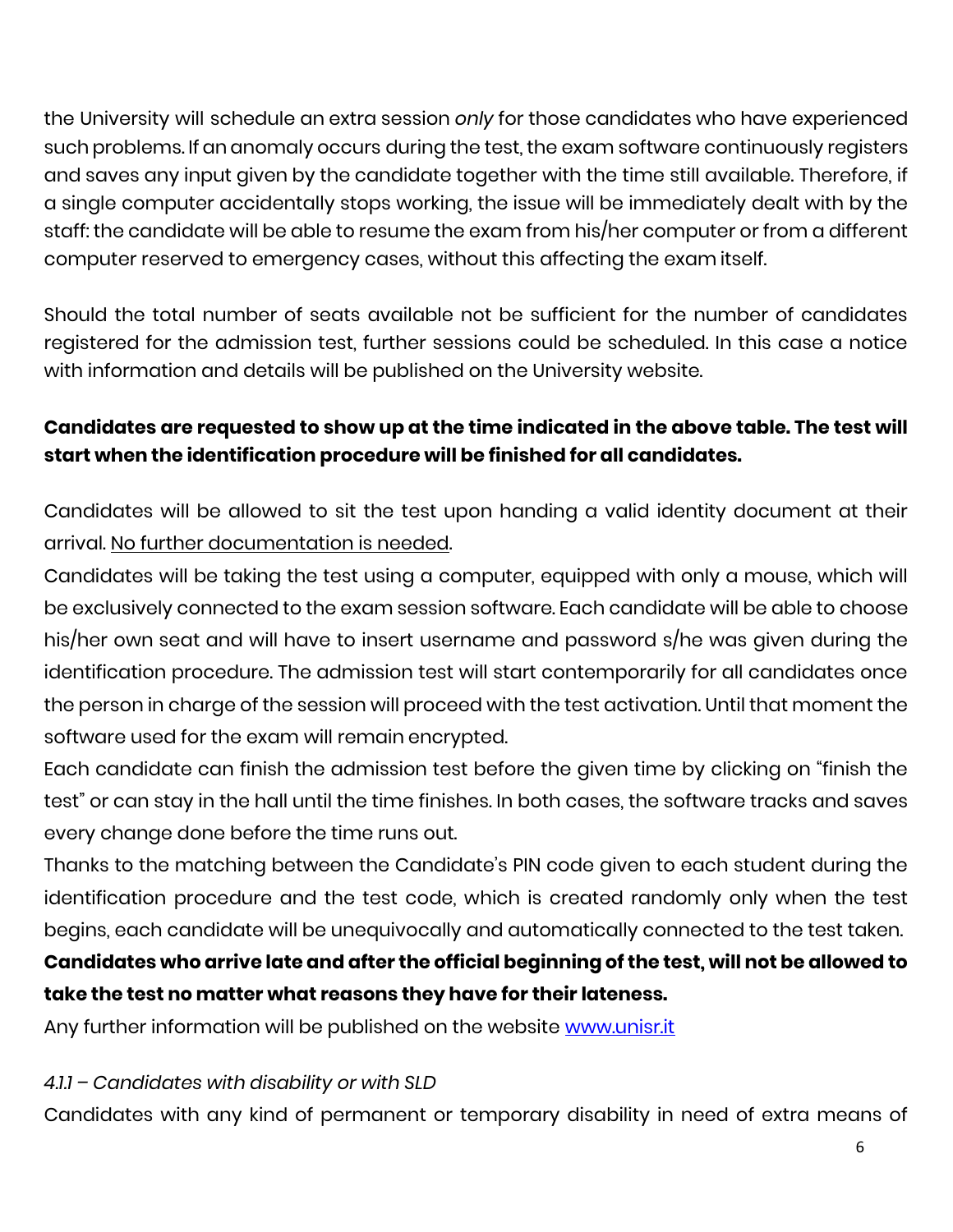the University will schedule an extra session *only* for those candidates who have experienced such problems. If an anomaly occurs during the test, the exam software continuously registers and saves any input given by the candidate together with the time still available. Therefore, if a single computer accidentally stops working, the issue will be immediately dealt with by the staff: the candidate will be able to resume the exam from his/her computer or from a different computer reserved to emergency cases, without this affecting the exam itself.

Should the total number of seats available not be sufficient for the number of candidates registered for the admission test, further sessions could be scheduled. In this case a notice with information and details will be published on the University website.

# **Candidates are requested to show up at the time indicated in the above table. The test will start when the identification procedure will be finished for all candidates.**

Candidates will be allowed to sit the test upon handing a valid identity document at their arrival. No further documentation is needed.

Candidates will be taking the test using a computer, equipped with only a mouse, which will be exclusively connected to the exam session software. Each candidate will be able to choose his/her own seat and will have to insert username and password s/he was given during the identification procedure. The admission test will start contemporarily for all candidates once the person in charge of the session will proceed with the test activation. Until that moment the software used for the exam will remain encrypted.

Each candidate can finish the admission test before the given time by clicking on "finish the test" or can stay in the hall until the time finishes. In both cases, the software tracks and saves every change done before the time runs out.

Thanks to the matching between the Candidate's PIN code given to each student during the identification procedure and the test code, which is created randomly only when the test begins, each candidate will be unequivocally and automatically connected to the test taken.

# **Candidates who arrive late and after the official beginning of the test, will not be allowed to take the test no matter what reasons they have for their lateness.**

Any further information will be published on the website [www.unisr.it](http://www.unisr.it/)

#### *4.1.1 – Candidates with disability or with SLD*

Candidates with any kind of permanent or temporary disability in need of extra means of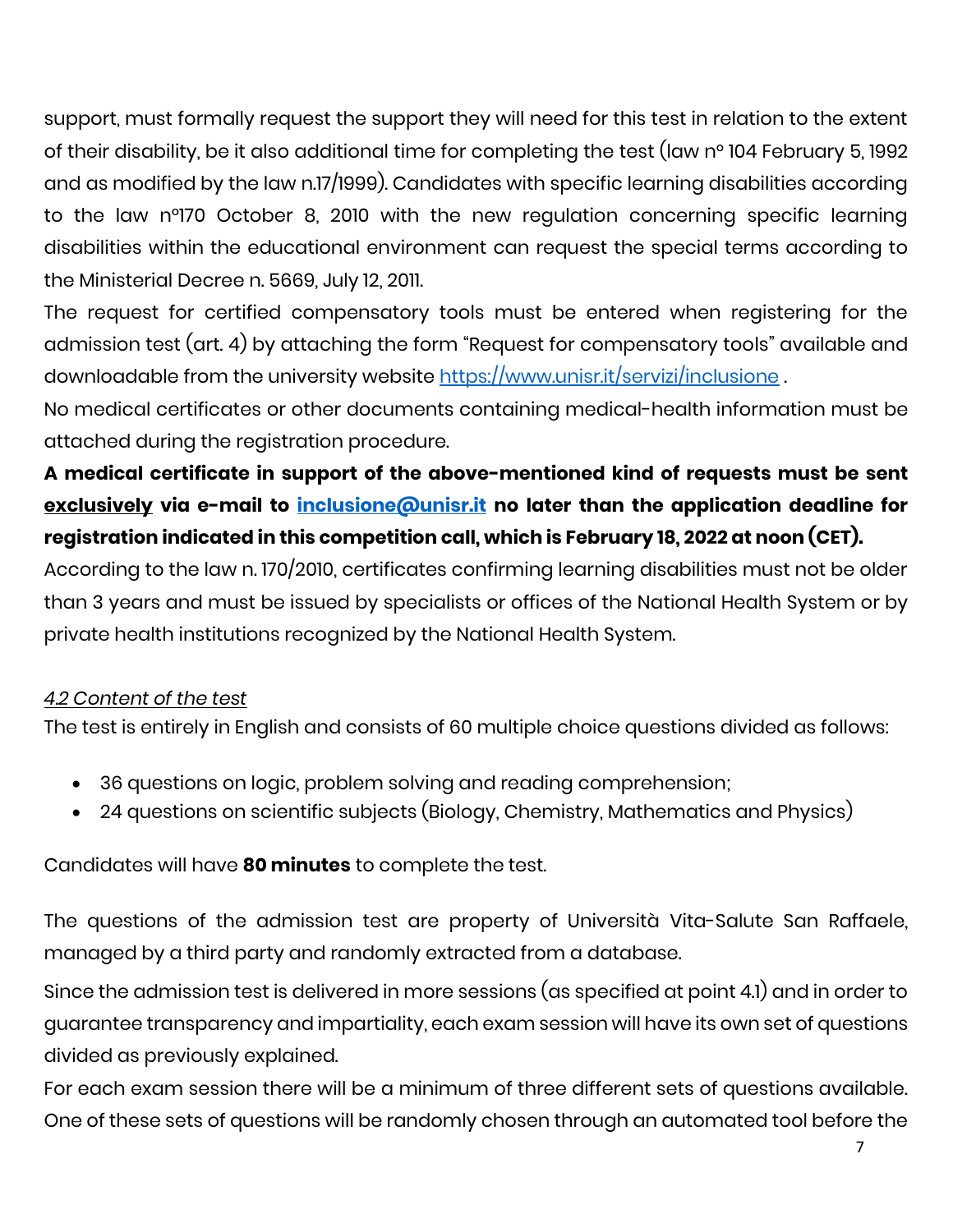support, must formally request the support they will need for this test in relation to the extent of their disability, be it also additional time for completing the test (law n° 104 February 5, 1992 and as modified by the law n.17/1999). Candidates with specific learning disabilities according to the law n°170 October 8, 2010 with the new regulation concerning specific learning disabilities within the educational environment can request the special terms according to the Ministerial Decree n. 5669, July 12, 2011.

The request for certified compensatory tools must be entered when registering for the admission test (art. 4) by attaching the form "Request for compensatory tools" available and downloadable from the university website<https://www.unisr.it/servizi/inclusione>.

No medical certificates or other documents containing medical-health information must be attached during the registration procedure.

# **A medical certificate in support of the above-mentioned kind of requests must be sent exclusively via e-mail to [inclusione@unisr.it](mailto:inclusione@unisr.it) no later than the application deadline for registration indicated in this competition call, which is February 18, 2022 at noon (CET).**

According to the law n. 170/2010, certificates confirming learning disabilities must not be older than 3 years and must be issued by specialists or offices of the National Health System or by private health institutions recognized by the National Health System.

# *4.2 Content of the test*

The test is entirely in English and consists of 60 multiple choice questions divided as follows:

- 36 questions on logic, problem solving and reading comprehension;
- 24 questions on scientific subjects (Biology, Chemistry, Mathematics and Physics)

Candidates will have **80 minutes** to complete the test.

The questions of the admission test are property of Università Vita-Salute San Raffaele, managed by a third party and randomly extracted from a database.

Since the admission test is delivered in more sessions (as specified at point 4.1) and in order to guarantee transparency and impartiality, each exam session will have its own set of questions divided as previously explained.

For each exam session there will be a minimum of three different sets of questions available. One of these sets of questions will be randomly chosen through an automated tool before the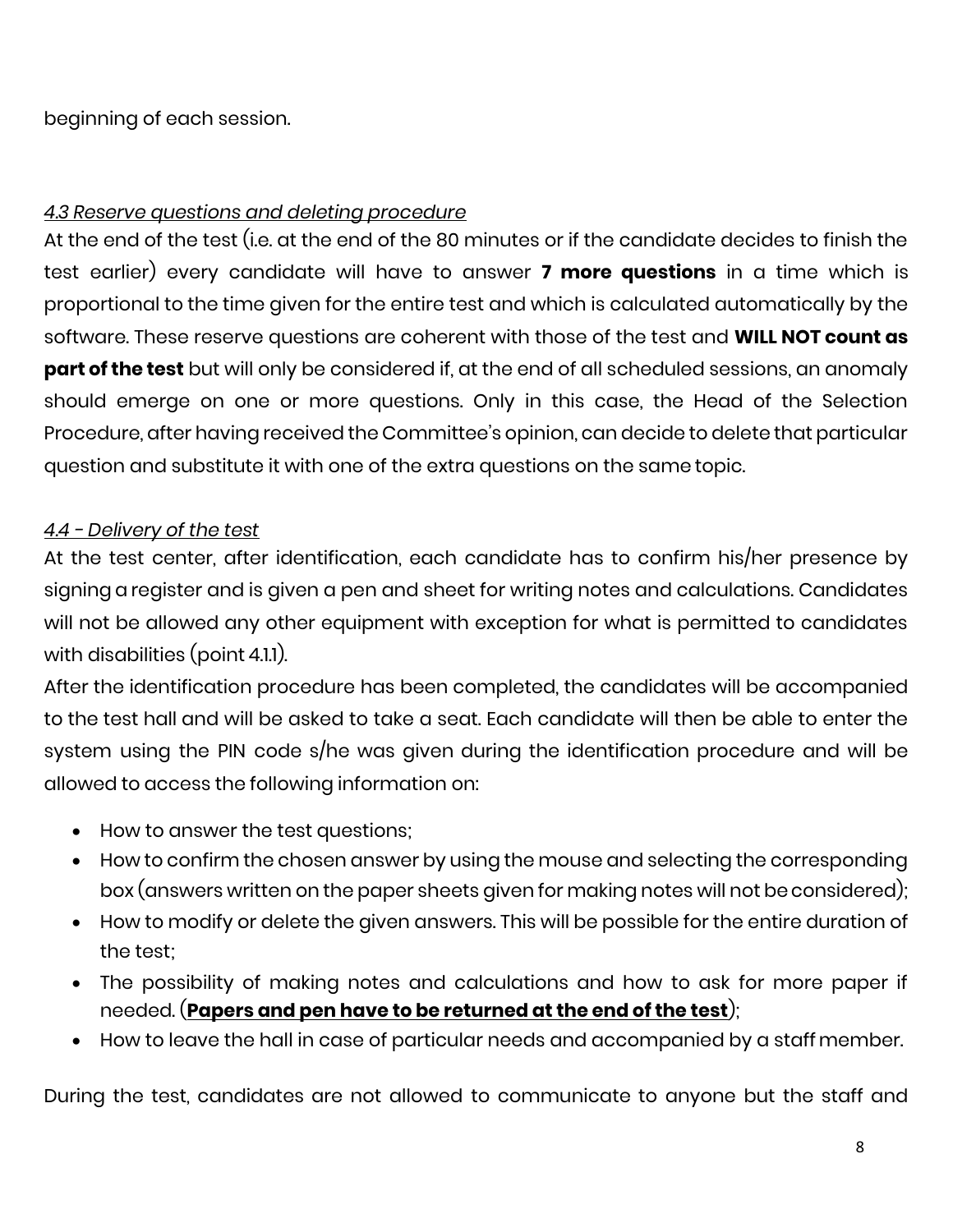beginning of each session.

## *4.3 Reserve questions and deleting procedure*

At the end of the test (i.e. at the end of the 80 minutes or if the candidate decides to finish the test earlier) every candidate will have to answer **7 more questions** in a time which is proportional to the time given for the entire test and which is calculated automatically by the software. These reserve questions are coherent with those of the test and **WILL NOT count as part of the test** but will only be considered if, at the end of all scheduled sessions, an anomaly should emerge on one or more questions. Only in this case, the Head of the Selection Procedure, after having received the Committee's opinion, can decide to delete that particular question and substitute it with one of the extra questions on the same topic.

#### *4.4 - Delivery of the test*

At the test center, after identification, each candidate has to confirm his/her presence by signing a register and is given a pen and sheet for writing notes and calculations. Candidates will not be allowed any other equipment with exception for what is permitted to candidates with disabilities (point 4.1.1).

After the identification procedure has been completed, the candidates will be accompanied to the test hall and will be asked to take a seat. Each candidate will then be able to enter the system using the PIN code s/he was given during the identification procedure and will be allowed to access the following information on:

- How to answer the test questions;
- How to confirm the chosen answer by using the mouse and selecting the corresponding box (answers written on the paper sheets given for making notes will not be considered);
- How to modify or delete the given answers. This will be possible for the entire duration of the test;
- The possibility of making notes and calculations and how to ask for more paper if needed. (**Papers and pen have to be returned at the end of the test**);
- How to leave the hall in case of particular needs and accompanied by a staffmember.

During the test, candidates are not allowed to communicate to anyone but the staff and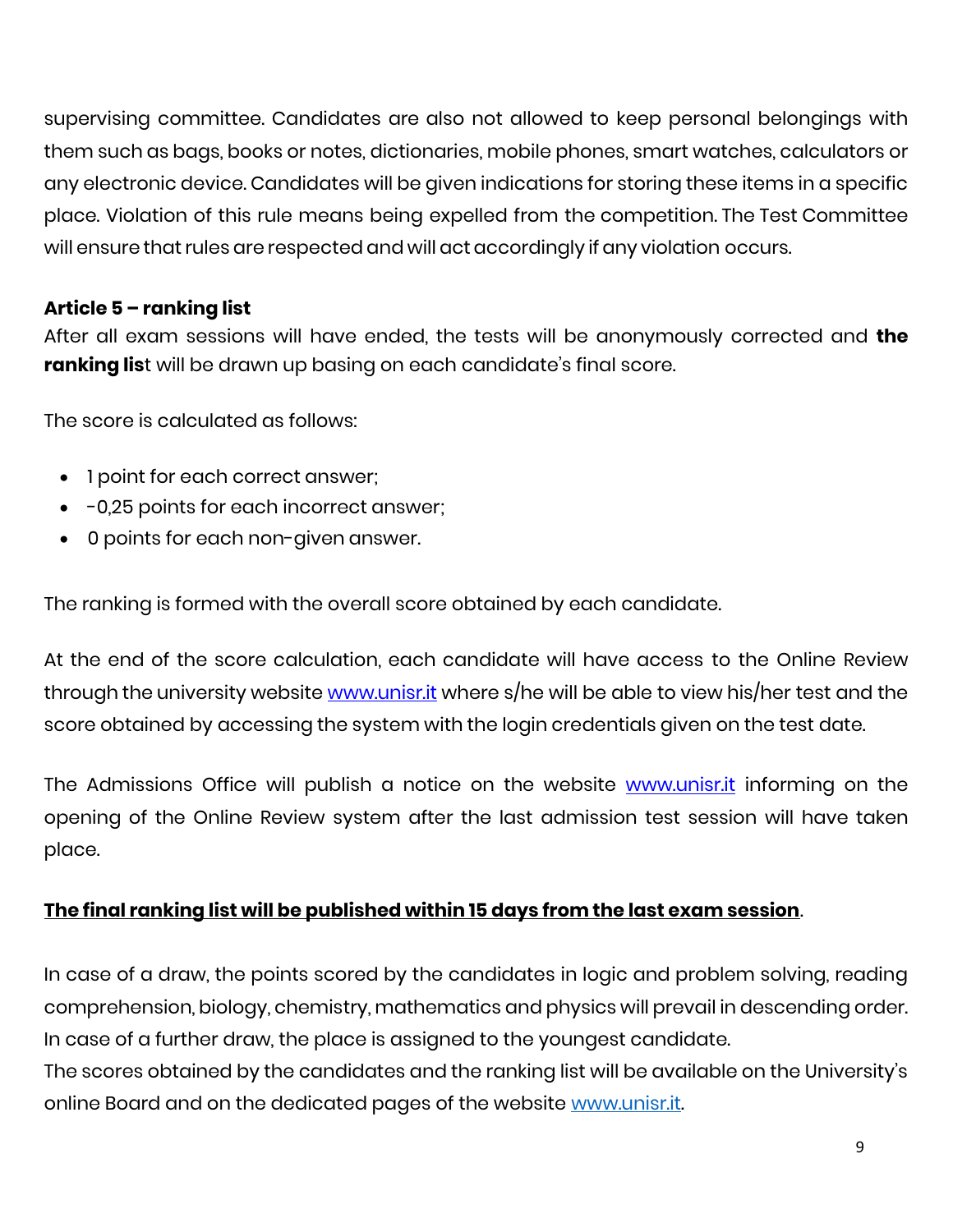supervising committee. Candidates are also not allowed to keep personal belongings with them such as bags, books or notes, dictionaries, mobile phones, smart watches, calculators or any electronic device. Candidates will be given indications for storing these items in a specific place. Violation of this rule means being expelled from the competition. The Test Committee will ensure that rules are respected and will act accordingly if any violation occurs.

## **Article 5 – ranking list**

After all exam sessions will have ended, the tests will be anonymously corrected and **the ranking lis**t will be drawn up basing on each candidate's final score.

The score is calculated as follows:

- 1 point for each correct answer;
- -0,25 points for each incorrect answer;
- 0 points for each non-given answer.

The ranking is formed with the overall score obtained by each candidate.

At the end of the score calculation, each candidate will have access to the Online Review through the university website [www.unisr.it](http://www.unisr.it/) where s/he will be able to view his/her test and the score obtained by accessing the system with the login credentials given on the test date.

The Admissions Office will publish a notice on the website <u>[www.unisr.it](http://www.unisr.it/)</u> informing on the opening of the Online Review system after the last admission test session will have taken place.

#### **The final ranking list will be published within 15 days from the last exam session**.

In case of a draw, the points scored by the candidates in logic and problem solving, reading comprehension, biology, chemistry, mathematics and physics will prevail in descending order. In case of a further draw, the place is assigned to the youngest candidate.

The scores obtained by the candidates and the ranking list will be available on the University's online Board and on the dedicated pages of the website [www.unisr.it.](http://www.unisr.it/)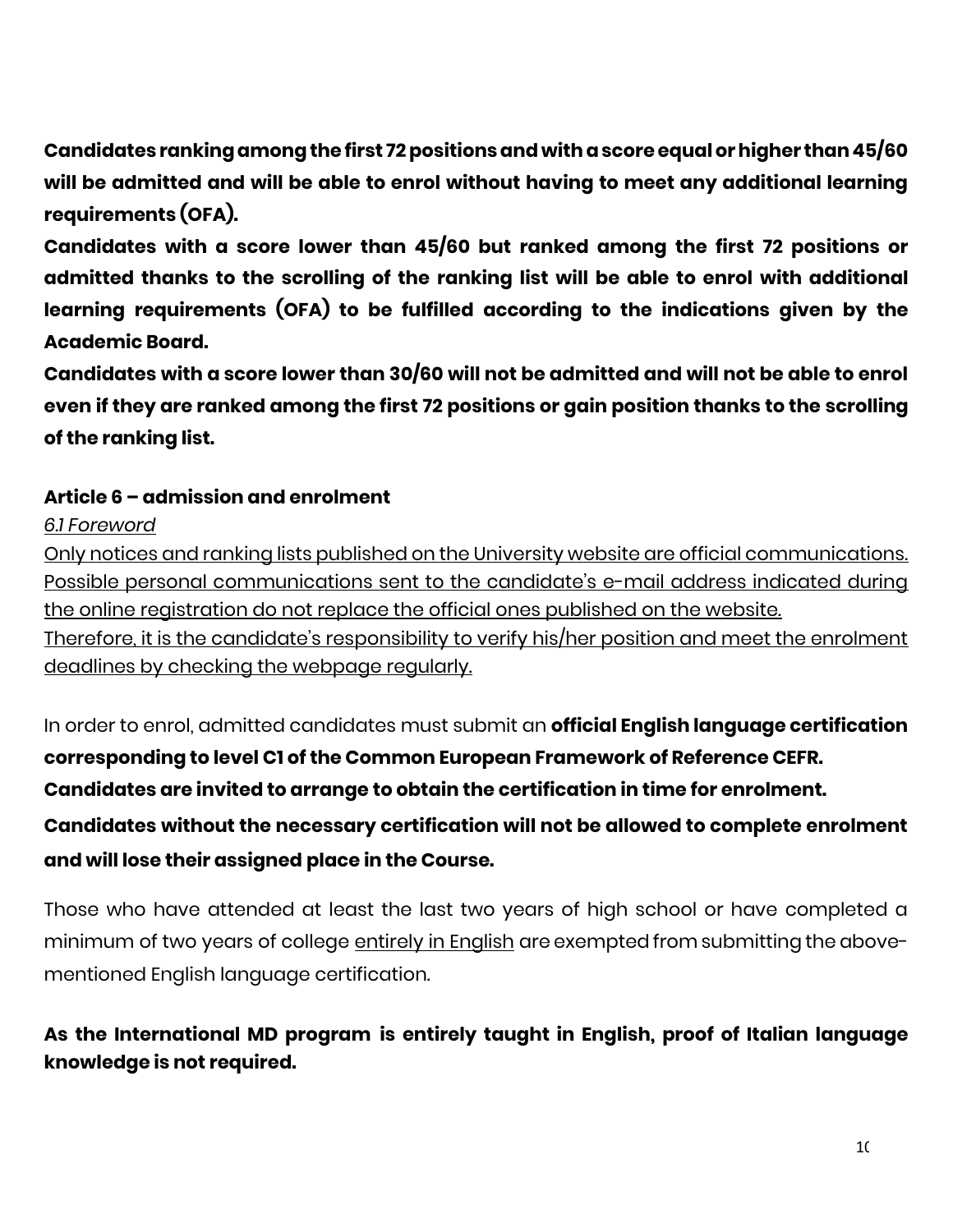**Candidates ranking among the first 72positions and with a scoreequal or higher than 45/60 will be admitted and will be able to enrol without having to meet any additional learning requirements (OFA).**

**Candidates with a score lower than 45/60 but ranked among the first 72 positions or admitted thanks to the scrolling of the ranking list will be able to enrol with additional learning requirements (OFA) to be fulfilled according to the indications given by the Academic Board.**

**Candidates with a score lower than 30/60 will not be admitted and will not be able to enrol even if they are ranked among the first 72 positions or gain position thanks to the scrolling of the ranking list.**

# **Article 6 – admission and enrolment**

*6.1 Foreword*

Only notices and ranking lists published on the University website are official communications. Possible personal communications sent to the candidate's e-mail address indicated during the online registration do not replace the official ones published on the website.

Therefore, it is the candidate's responsibility to verify his/her position and meet the enrolment deadlines by checking the webpage regularly.

In order to enrol, admitted candidates must submit an **official English language certification corresponding to level C1 of the Common European Framework of Reference CEFR. Candidates are invited to arrange to obtain the certification in time for enrolment. Candidates without the necessary certification will not be allowed to complete enrolment and will lose their assigned place in the Course.**

Those who have attended at least the last two years of high school or have completed a minimum of two years of college entirely in English are exempted from submitting the abovementioned English language certification.

# **As the International MD program is entirely taught in English, proof of Italian language knowledge is not required.**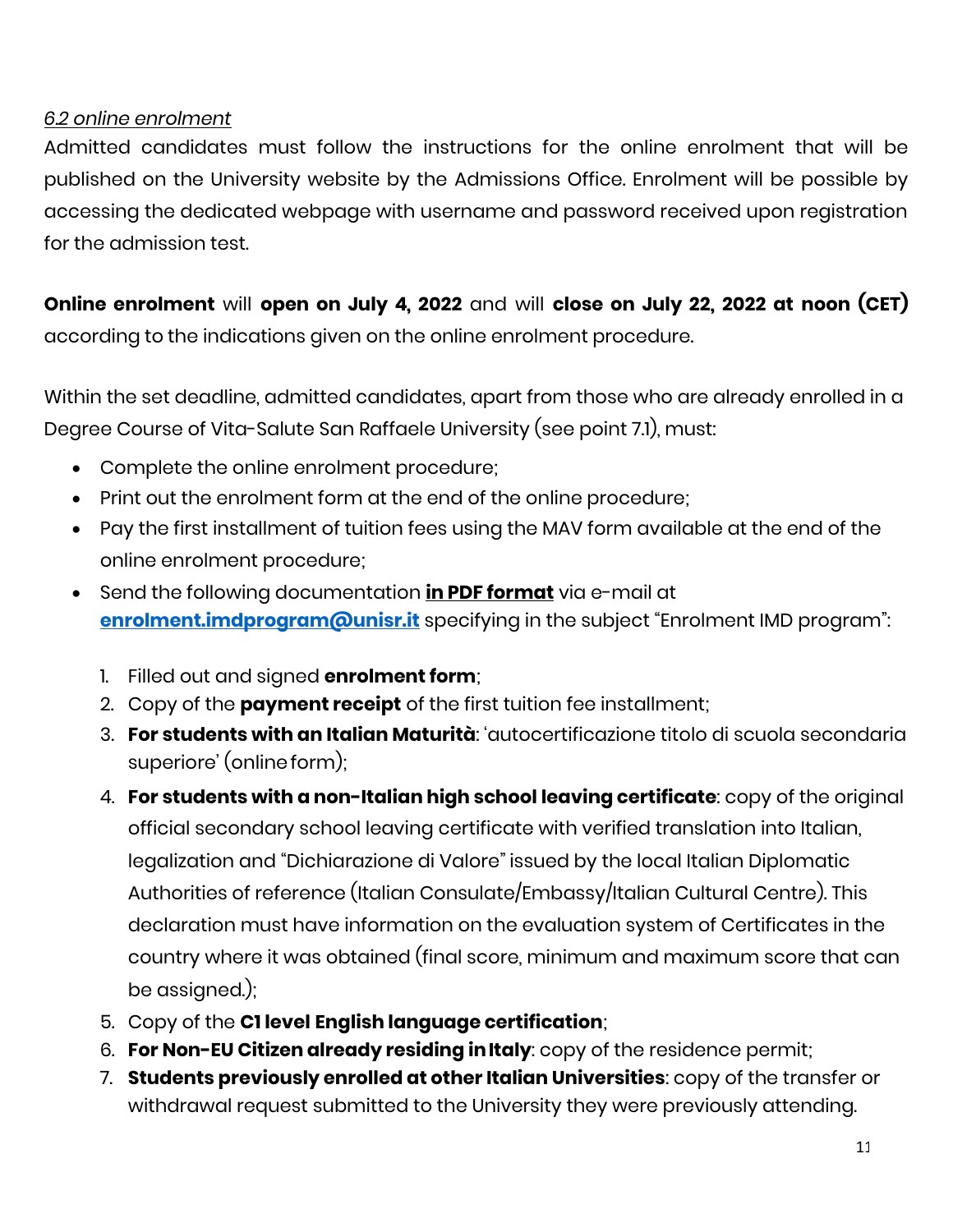#### *6.2 online enrolment*

Admitted candidates must follow the instructions for the online enrolment that will be published on the University website by the Admissions Office. Enrolment will be possible by accessing the dedicated webpage with username and password received upon registration for the admission test.

**Online enrolment** will **open on July 4, 2022** and will **close on July 22, 2022 at noon (CET)** according to the indications given on the online enrolment procedure.

Within the set deadline, admitted candidates, apart from those who are already enrolled in a Degree Course of Vita-Salute San Raffaele University (see point 7.1), must:

- Complete the online enrolment procedure;
- Print out the enrolment form at the end of the online procedure;
- Pay the first installment of tuition fees using the MAV form available at the end of the online enrolment procedure;
- Send the following documentation **in PDF format** via e-mail at **[enrolment.imdprogram@unisr.it](mailto:enrolment.imdprogram@unisr.it)** specifying in the subject "Enrolment IMD program":
	- 1. Filled out and signed **enrolment form**;
	- 2. Copy of the **payment receipt** of the first tuition fee installment;
	- 3. **For students with an Italian Maturità**: 'autocertificazione titolo di scuola secondaria superiore' (onlineform);
	- 4. **For students with a non-Italian high school leaving certificate**: copy of the original official secondary school leaving certificate with verified translation into Italian, legalization and "Dichiarazione di Valore" issued by the local Italian Diplomatic Authorities of reference (Italian Consulate/Embassy/Italian Cultural Centre). This declaration must have information on the evaluation system of Certificates in the country where it was obtained (final score, minimum and maximum score that can be assigned.);
	- 5. Copy of the **C1 level English language certification**;
	- 6. **For Non-EU Citizen already residing inItaly**: copy of the residence permit;
	- 7. **Students previously enrolled at other Italian Universities**: copy of the transfer or withdrawal request submitted to the University they were previously attending.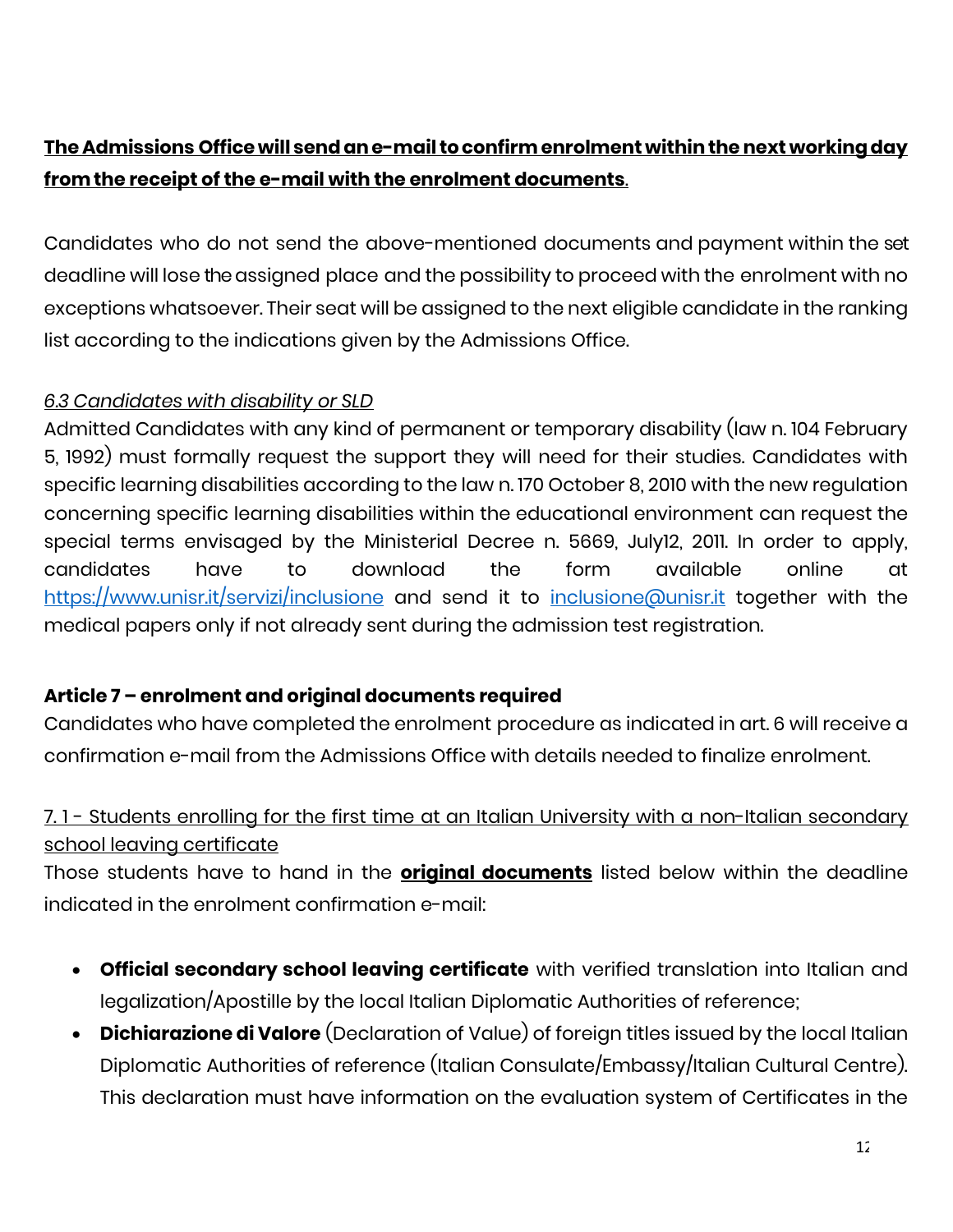# **The Admissions Office will sendane-mail toconfirmenrolment withinthenext workingday fromthe receipt of the e-mail with the enrolment documents**.

Candidates who do not send the above-mentioned documents and payment within the set deadline will lose the assigned place and the possibility to proceed with the enrolment with no exceptions whatsoever. Their seat will be assigned to the next eligible candidate in the ranking list according to the indications given by the Admissions Office.

## *6.3 Candidates with disability or SLD*

Admitted Candidates with any kind of permanent or temporary disability (law n. 104 February 5, 1992) must formally request the support they will need for their studies. Candidates with specific learning disabilities according to the law n. 170 October 8, 2010 with the new regulation concerning specific learning disabilities within the educational environment can request the special terms envisaged by the Ministerial Decree n. 5669, July12, 2011. In order to apply, candidates have to download the form available online at <https://www.unisr.it/servizi/inclusione> and send it to [inclusione@unisr.it](mailto:%20inclusione@unisr.it) together with the medical papers only if not already sent during the admission test registration.

# **Article 7 – enrolment and original documents required**

Candidates who have completed the enrolment procedure as indicated in art. 6 will receive a confirmation e-mail from the Admissions Office with details needed to finalize enrolment.

# 7. 1 - Students enrolling for the first time at an Italian University with a non-Italian secondary school leaving certificate

Those students have to hand in the **original documents** listed below within the deadline indicated in the enrolment confirmation e-mail:

- **Official secondary school leaving certificate** with verified translation into Italian and legalization/Apostille by the local Italian Diplomatic Authorities of reference;
- **Dichiarazione di Valore** (Declaration of Value) of foreign titles issued by the local Italian Diplomatic Authorities of reference (Italian Consulate/Embassy/Italian Cultural Centre). This declaration must have information on the evaluation system of Certificates in the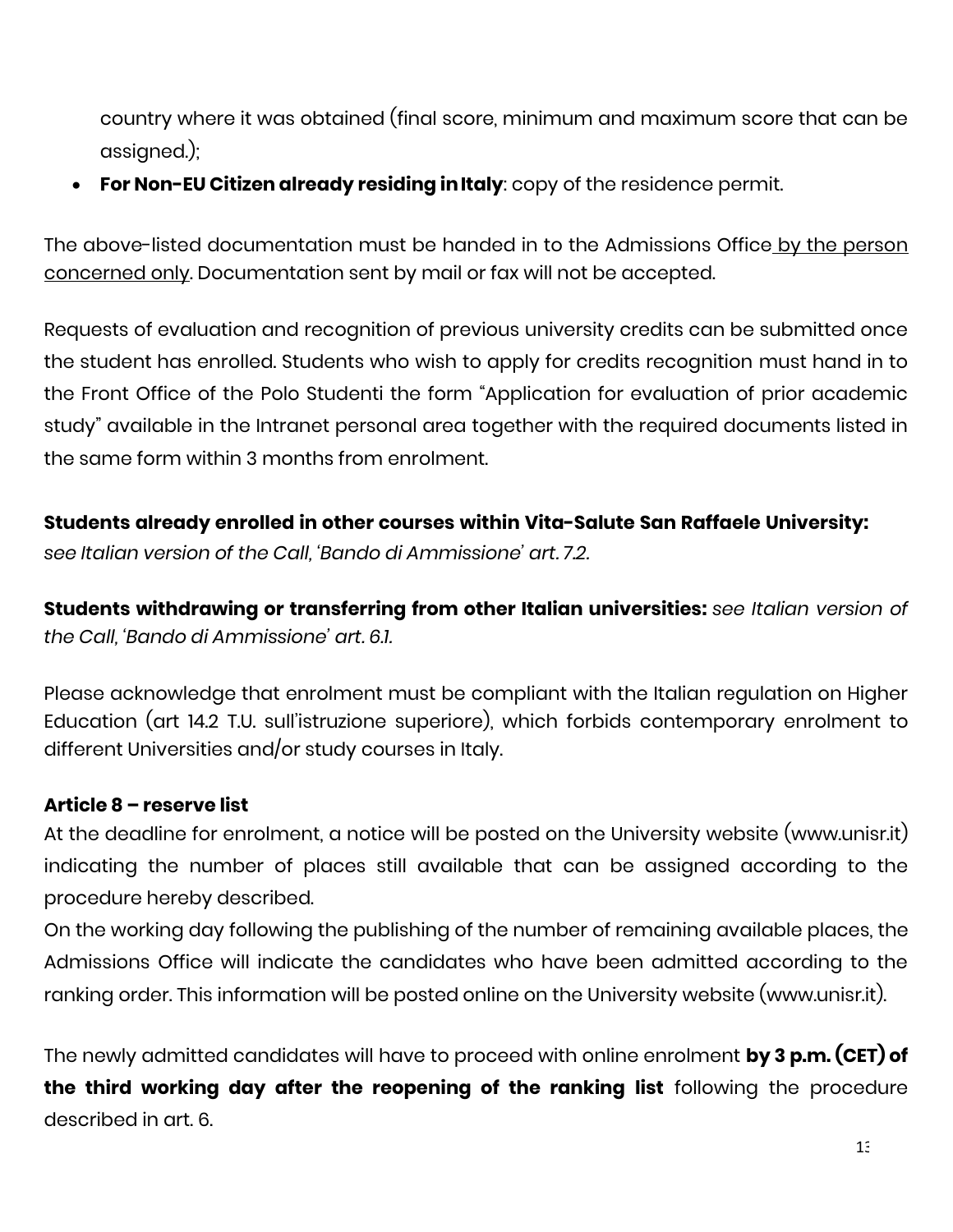country where it was obtained (final score, minimum and maximum score that can be assigned.);

• **For Non-EU Citizen already residing inItaly**: copy of the residence permit.

The above-listed documentation must be handed in to the Admissions Office by the person concerned only. Documentation sent by mail or fax will not be accepted.

Requests of evaluation and recognition of previous university credits can be submitted once the student has enrolled. Students who wish to apply for credits recognition must hand in to the Front Office of the Polo Studenti the form "Application for evaluation of prior academic study" available in the Intranet personal area together with the required documents listed in the same form within 3 months from enrolment.

## **Students already enrolled in other courses within Vita-Salute San Raffaele University:**

*see Italian version of the Call, 'Bando di Ammissione' art. 7.2.*

**Students withdrawing or transferring from other Italian universities:** *see Italian version of the Call, 'Bando di Ammissione' art. 6.1.*

Please acknowledge that enrolment must be compliant with the Italian regulation on Higher Education (art 14.2 T.U. sull'istruzione superiore), which forbids contemporary enrolment to different Universities and/or study courses in Italy.

#### **Article 8 – reserve list**

At the deadline for enrolment, a notice will be posted on the University website (www.unisr.it) indicating the number of places still available that can be assigned according to the procedure hereby described.

On the working day following the publishing of the number of remaining available places, the Admissions Office will indicate the candidates who have been admitted according to the ranking order. This information will be posted online on the University website (www.unisr.it).

The newly admitted candidates will have to proceed with online enrolment **by 3 p.m. (CET) of the third working day after the reopening of the ranking list** following the procedure described in art. 6.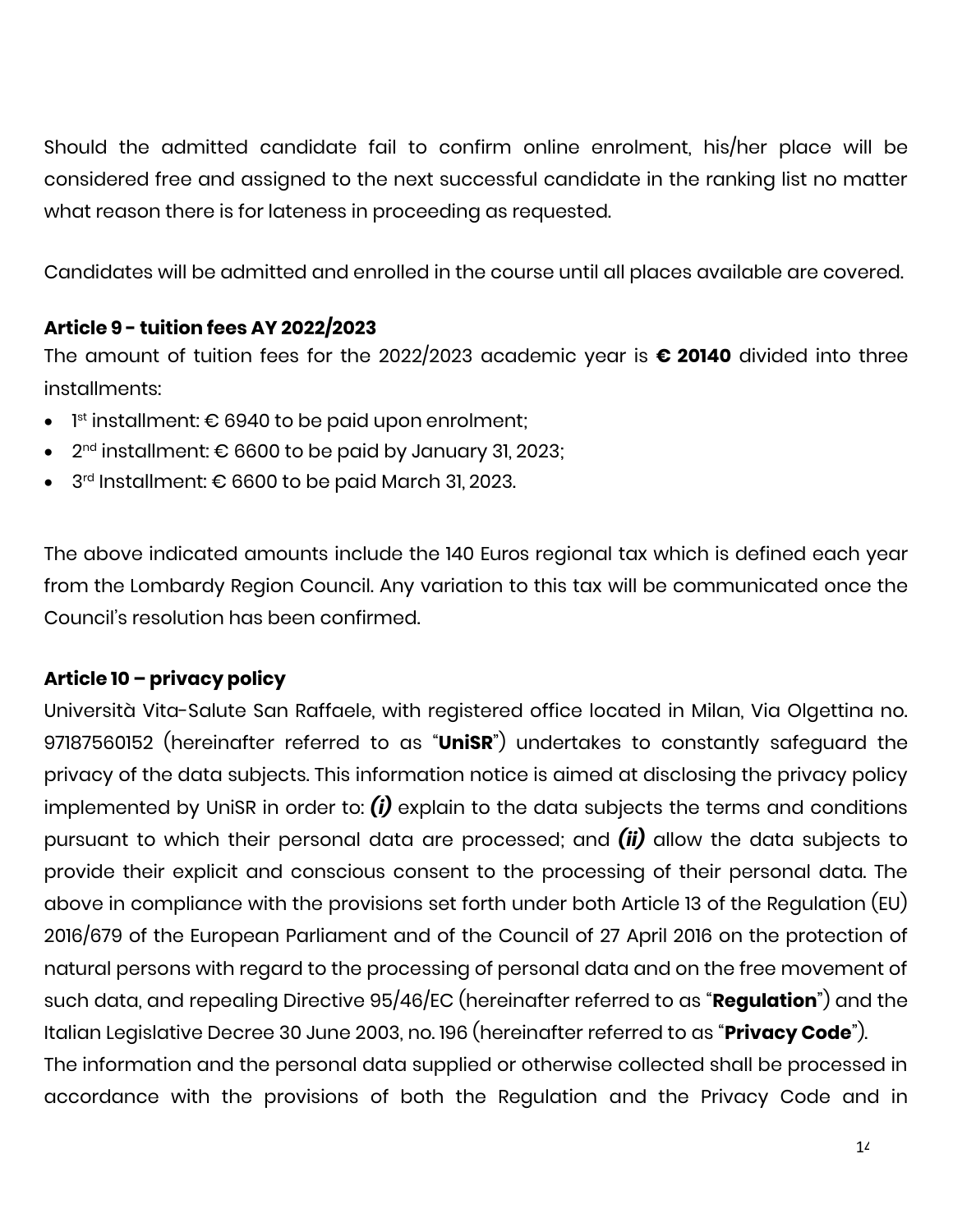Should the admitted candidate fail to confirm online enrolment, his/her place will be considered free and assigned to the next successful candidate in the ranking list no matter what reason there is for lateness in proceeding as requested.

Candidates will be admitted and enrolled in the course until all places available are covered.

## **Article 9 - tuition fees AY 2022/2023**

The amount of tuition fees for the 2022/2023 academic year is **€ 20140** divided into three installments:

- $\bullet$  1st installment:  $\epsilon$  6940 to be paid upon enrolment;
- $•$  2<sup>nd</sup> installment: € 6600 to be paid by January 31, 2023;
- 3 rd Installment: € 6600 to be paid March 31, 2023.

The above indicated amounts include the 140 Euros regional tax which is defined each year from the Lombardy Region Council. Any variation to this tax will be communicated once the Council's resolution has been confirmed.

# **Article 10 – privacy policy**

Università Vita-Salute San Raffaele, with registered office located in Milan, Via Olgettina no. 97187560152 (hereinafter referred to as "**UniSR**") undertakes to constantly safeguard the privacy of the data subjects. This information notice is aimed at disclosing the privacy policy implemented by UniSR in order to: *(i)* explain to the data subjects the terms and conditions pursuant to which their personal data are processed; and *(ii)* allow the data subjects to provide their explicit and conscious consent to the processing of their personal data. The above in compliance with the provisions set forth under both Article 13 of the Regulation (EU) 2016/679 of the European Parliament and of the Council of 27 April 2016 on the protection of natural persons with regard to the processing of personal data and on the free movement of such data, and repealing Directive 95/46/EC (hereinafter referred to as "**Regulation**") and the Italian Legislative Decree 30 June 2003, no. 196 (hereinafter referred to as "**Privacy Code**"). The information and the personal data supplied or otherwise collected shall be processed in accordance with the provisions of both the Regulation and the Privacy Code and in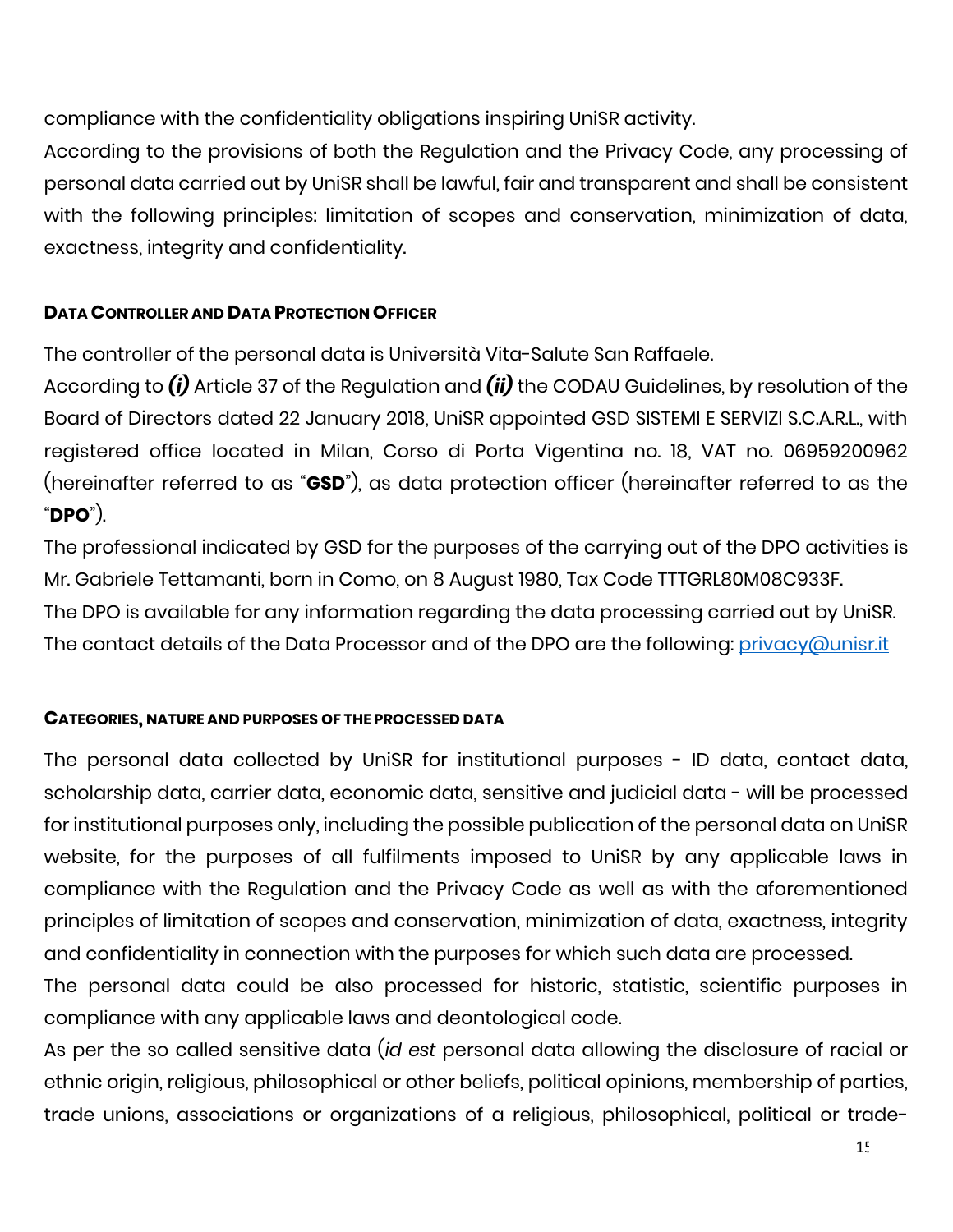compliance with the confidentiality obligations inspiring UniSR activity.

According to the provisions of both the Regulation and the Privacy Code, any processing of personal data carried out by UniSR shall be lawful, fair and transparent and shall be consistent with the following principles: limitation of scopes and conservation, minimization of data, exactness, integrity and confidentiality.

## **DATA CONTROLLER AND DATA PROTECTION OFFICER**

The controller of the personal data is Università Vita-Salute San Raffaele.

According to *(i)* Article 37 of the Regulation and *(ii)* the CODAU Guidelines, by resolution of the Board of Directors dated 22 January 2018, UniSR appointed GSD SISTEMI E SERVIZI S.C.A.R.L., with registered office located in Milan, Corso di Porta Vigentina no. 18, VAT no. 06959200962 (hereinafter referred to as "**GSD**"), as data protection officer (hereinafter referred to as the "**DPO**").

The professional indicated by GSD for the purposes of the carrying out of the DPO activities is Mr. Gabriele Tettamanti, born in Como, on 8 August 1980, Tax Code TTTGRL80M08C933F. The DPO is available for any information regarding the data processing carried out by UniSR. The contact details of the Data Processor and of the DPO are the following: [privacy@unisr.it](mailto:privacy@unisr.it)

#### **CATEGORIES, NATURE AND PURPOSES OF THE PROCESSED DATA**

The personal data collected by UniSR for institutional purposes - ID data, contact data, scholarship data, carrier data, economic data, sensitive and judicial data - will be processed for institutional purposes only, including the possible publication of the personal data on UniSR website, for the purposes of all fulfilments imposed to UniSR by any applicable laws in compliance with the Regulation and the Privacy Code as well as with the aforementioned principles of limitation of scopes and conservation, minimization of data, exactness, integrity and confidentiality in connection with the purposes for which such data are processed.

The personal data could be also processed for historic, statistic, scientific purposes in compliance with any applicable laws and deontological code.

As per the so called sensitive data (*id est* personal data allowing the disclosure of racial or ethnic origin, religious, philosophical or other beliefs, political opinions, membership of parties, trade unions, associations or organizations of a religious, philosophical, political or trade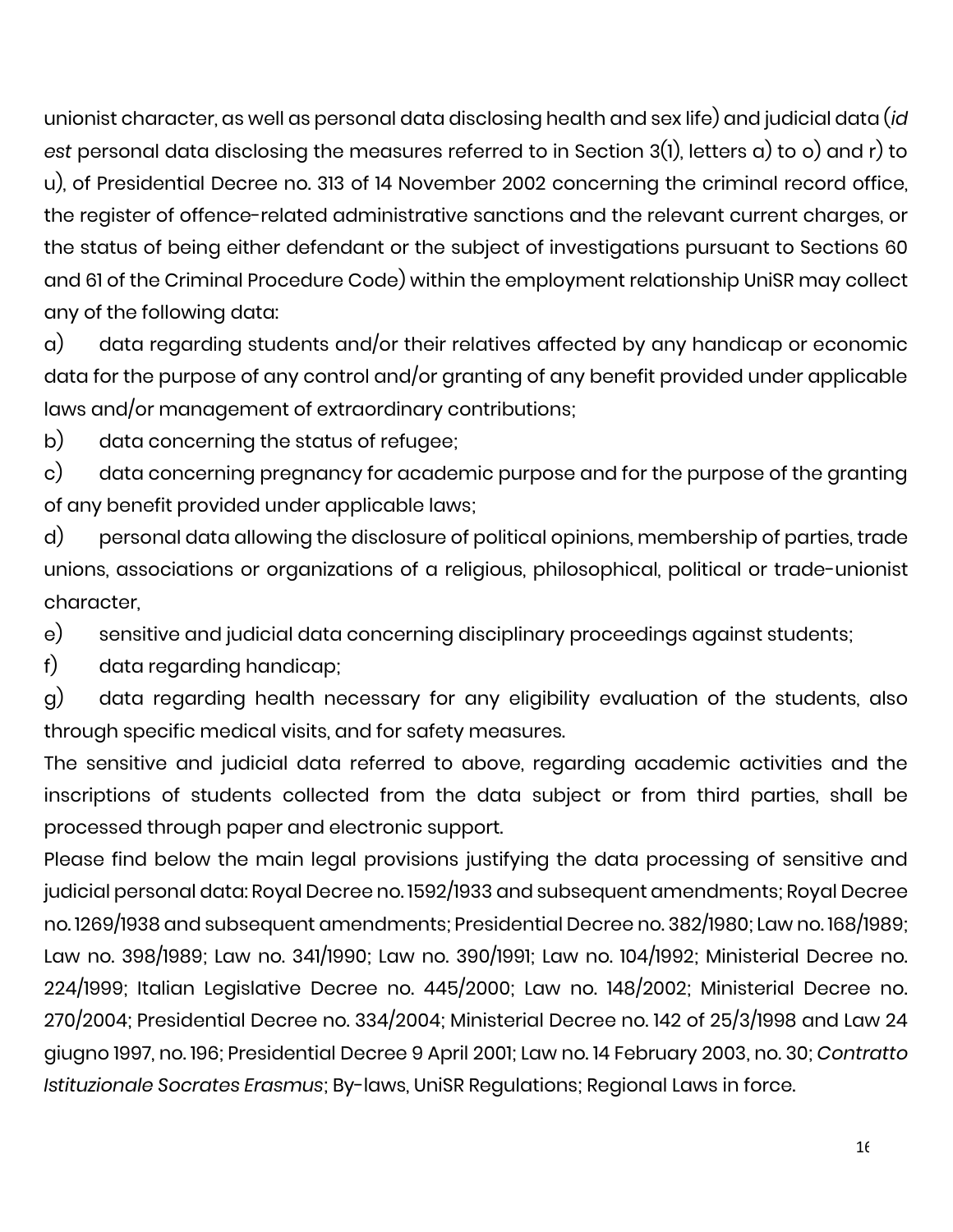unionist character, as well as personal data disclosing health and sex life) and judicial data (*id est* personal data disclosing the measures referred to in Section 3(1), letters a) to o) and r) to u), of Presidential Decree no. 313 of 14 November 2002 concerning the criminal record office, the register of offence-related administrative sanctions and the relevant current charges, or the status of being either defendant or the subject of investigations pursuant to Sections 60 and 61 of the Criminal Procedure Code) within the employment relationship UniSR may collect any of the following data:

a) data regarding students and/or their relatives affected by any handicap or economic data for the purpose of any control and/or granting of any benefit provided under applicable laws and/or management of extraordinary contributions;

b) data concerning the status of refugee;

c) data concerning pregnancy for academic purpose and for the purpose of the granting of any benefit provided under applicable laws;

d) personal data allowing the disclosure of political opinions, membership of parties, trade unions, associations or organizations of a religious, philosophical, political or trade-unionist character,

e) sensitive and judicial data concerning disciplinary proceedings against students;

f) data regarding handicap;

g) data regarding health necessary for any eligibility evaluation of the students, also through specific medical visits, and for safety measures.

The sensitive and judicial data referred to above, regarding academic activities and the inscriptions of students collected from the data subject or from third parties, shall be processed through paper and electronic support.

Please find below the main legal provisions justifying the data processing of sensitive and judicial personal data: Royal Decree no. 1592/1933 and subsequent amendments; Royal Decree no. 1269/1938 and subsequent amendments; Presidential Decree no. 382/1980; Law no. 168/1989; Law no. 398/1989; Law no. 341/1990; Law no. 390/1991; Law no. 104/1992; Ministerial Decree no. 224/1999; Italian Legislative Decree no. 445/2000; Law no. 148/2002; Ministerial Decree no. 270/2004; Presidential Decree no. 334/2004; Ministerial Decree no. 142 of 25/3/1998 and Law 24 giugno 1997, no. 196; Presidential Decree 9 April 2001; Law no. 14 February 2003, no. 30; *Contratto Istituzionale Socrates Erasmus*; By-laws, UniSR Regulations; Regional Laws in force.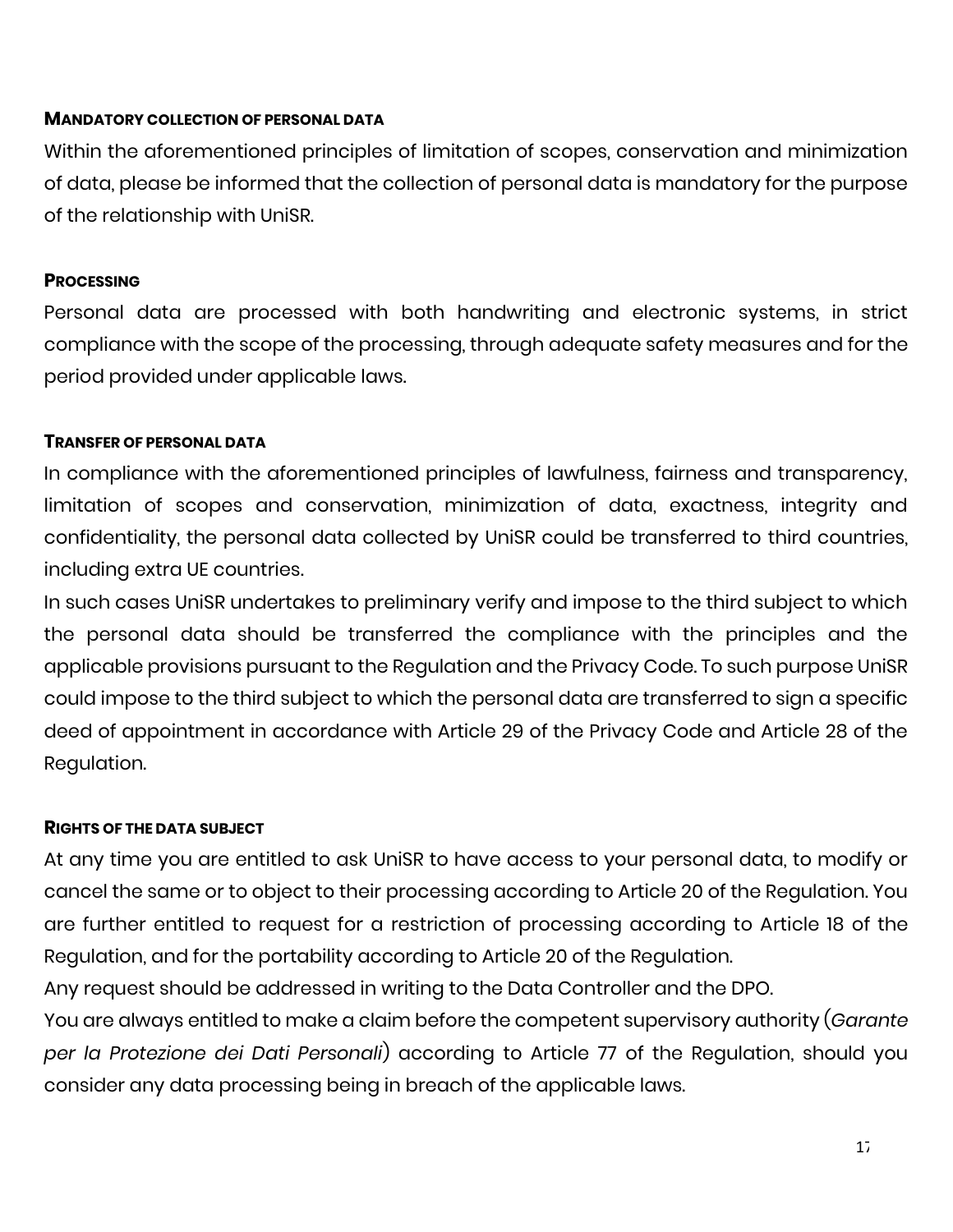#### **MANDATORY COLLECTION OF PERSONAL DATA**

Within the aforementioned principles of limitation of scopes, conservation and minimization of data, please be informed that the collection of personal data is mandatory for the purpose of the relationship with UniSR.

#### **PROCESSING**

Personal data are processed with both handwriting and electronic systems, in strict compliance with the scope of the processing, through adequate safety measures and for the period provided under applicable laws.

#### **TRANSFER OF PERSONAL DATA**

In compliance with the aforementioned principles of lawfulness, fairness and transparency, limitation of scopes and conservation, minimization of data, exactness, integrity and confidentiality, the personal data collected by UniSR could be transferred to third countries, including extra UE countries.

In such cases UniSR undertakes to preliminary verify and impose to the third subject to which the personal data should be transferred the compliance with the principles and the applicable provisions pursuant to the Regulation and the Privacy Code. To such purpose UniSR could impose to the third subject to which the personal data are transferred to sign a specific deed of appointment in accordance with Article 29 of the Privacy Code and Article 28 of the Regulation.

#### **RIGHTS OF THE DATA SUBJECT**

At any time you are entitled to ask UniSR to have access to your personal data, to modify or cancel the same or to object to their processing according to Article 20 of the Regulation. You are further entitled to request for a restriction of processing according to Article 18 of the Regulation, and for the portability according to Article 20 of the Regulation.

Any request should be addressed in writing to the Data Controller and the DPO.

You are always entitled to make a claim before the competent supervisory authority (*Garante per la Protezione dei Dati Personali*) according to Article 77 of the Regulation, should you consider any data processing being in breach of the applicable laws.